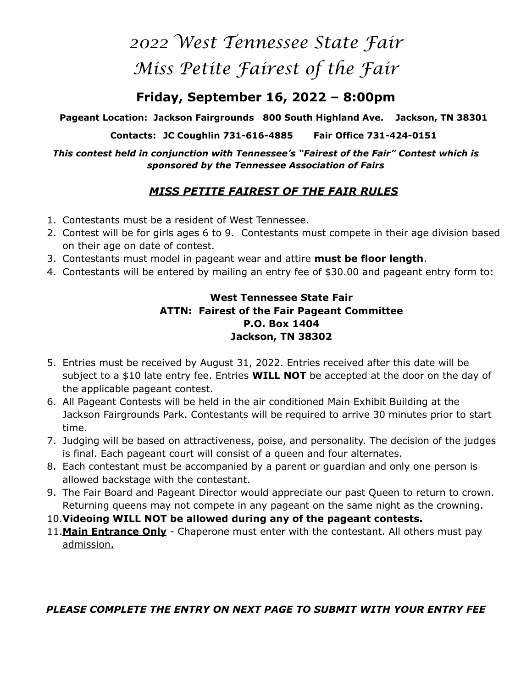# *2022 West Tennessee State Fair Miss Petite Fairest of the Fair*

# **Friday, September 16, 2022 – 8:00pm**

**Pageant Location: Jackson Fairgrounds 800 South Highland Ave. Jackson, TN 38301** 

**Contacts: JC Coughlin 731-616-4885 Fair Office 731-424-0151** 

*This contest held in conjunction with Tennessee's "Fairest of the Fair" Contest which is sponsored by the Tennessee Association of Fairs* 

# *MISS PETITE FAIREST OF THE FAIR RULES*

- 1. Contestants must be a resident of West Tennessee.
- 2. Contest will be for girls ages 6 to 9. Contestants must compete in their age division based on their age on date of contest.
- 3. Contestants must model in pageant wear and attire **must be floor length**.
- 4. Contestants will be entered by mailing an entry fee of \$30.00 and pageant entry form to:

### **West Tennessee State Fair ATTN: Fairest of the Fair Pageant Committee P.O. Box 1404 Jackson, TN 38302**

- 5. Entries must be received by August 31, 2022. Entries received after this date will be subject to a \$10 late entry fee. Entries **WILL NOT** be accepted at the door on the day of the applicable pageant contest.
- 6. All Pageant Contests will be held in the air conditioned Main Exhibit Building at the Jackson Fairgrounds Park. Contestants will be required to arrive 30 minutes prior to start time.
- 7. Judging will be based on attractiveness, poise, and personality. The decision of the judges is final. Each pageant court will consist of a queen and four alternates.
- 8. Each contestant must be accompanied by a parent or guardian and only one person is allowed backstage with the contestant.
- 9. The Fair Board and Pageant Director would appreciate our past Queen to return to crown. Returning queens may not compete in any pageant on the same night as the crowning.
- 10.**Videoing WILL NOT be allowed during any of the pageant contests.**
- 11.**Main Entrance Only** Chaperone must enter with the contestant. All others must pay admission.

## *PLEASE COMPLETE THE ENTRY ON NEXT PAGE TO SUBMIT WITH YOUR ENTRY FEE*